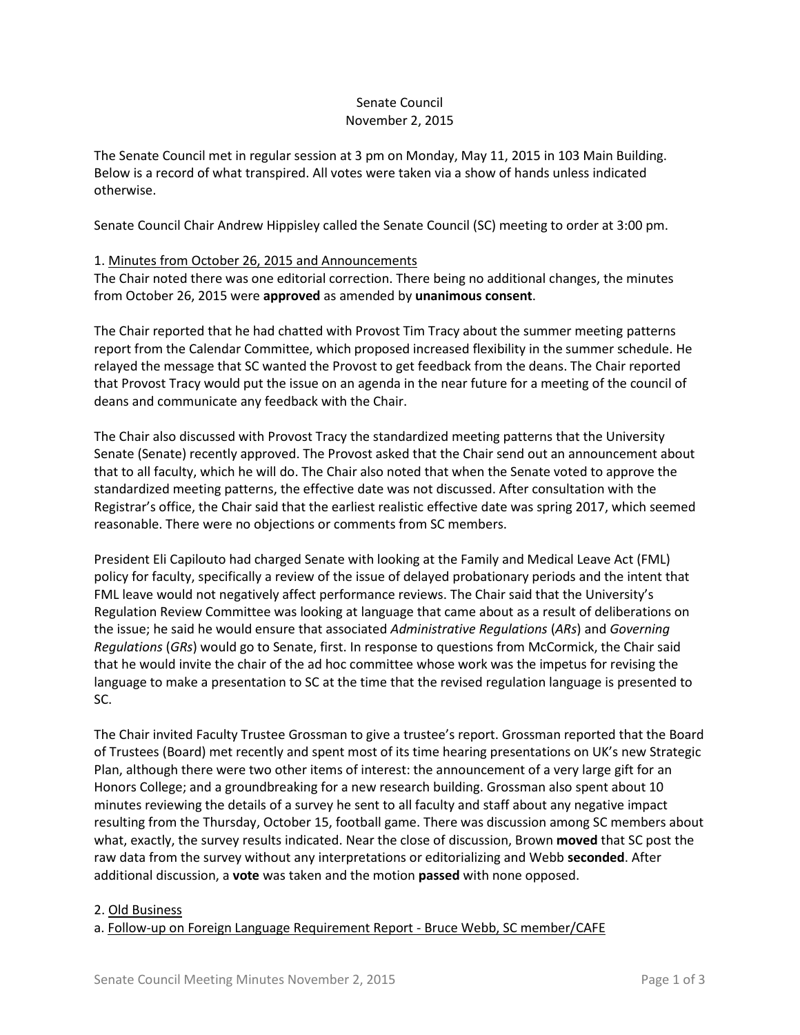### Senate Council November 2, 2015

The Senate Council met in regular session at 3 pm on Monday, May 11, 2015 in 103 Main Building. Below is a record of what transpired. All votes were taken via a show of hands unless indicated otherwise.

Senate Council Chair Andrew Hippisley called the Senate Council (SC) meeting to order at 3:00 pm.

### 1. Minutes from October 26, 2015 and Announcements

The Chair noted there was one editorial correction. There being no additional changes, the minutes from October 26, 2015 were **approved** as amended by **unanimous consent**.

The Chair reported that he had chatted with Provost Tim Tracy about the summer meeting patterns report from the Calendar Committee, which proposed increased flexibility in the summer schedule. He relayed the message that SC wanted the Provost to get feedback from the deans. The Chair reported that Provost Tracy would put the issue on an agenda in the near future for a meeting of the council of deans and communicate any feedback with the Chair.

The Chair also discussed with Provost Tracy the standardized meeting patterns that the University Senate (Senate) recently approved. The Provost asked that the Chair send out an announcement about that to all faculty, which he will do. The Chair also noted that when the Senate voted to approve the standardized meeting patterns, the effective date was not discussed. After consultation with the Registrar's office, the Chair said that the earliest realistic effective date was spring 2017, which seemed reasonable. There were no objections or comments from SC members.

President Eli Capilouto had charged Senate with looking at the Family and Medical Leave Act (FML) policy for faculty, specifically a review of the issue of delayed probationary periods and the intent that FML leave would not negatively affect performance reviews. The Chair said that the University's Regulation Review Committee was looking at language that came about as a result of deliberations on the issue; he said he would ensure that associated *Administrative Regulations* (*ARs*) and *Governing Regulations* (*GRs*) would go to Senate, first. In response to questions from McCormick, the Chair said that he would invite the chair of the ad hoc committee whose work was the impetus for revising the language to make a presentation to SC at the time that the revised regulation language is presented to SC.

The Chair invited Faculty Trustee Grossman to give a trustee's report. Grossman reported that the Board of Trustees (Board) met recently and spent most of its time hearing presentations on UK's new Strategic Plan, although there were two other items of interest: the announcement of a very large gift for an Honors College; and a groundbreaking for a new research building. Grossman also spent about 10 minutes reviewing the details of a survey he sent to all faculty and staff about any negative impact resulting from the Thursday, October 15, football game. There was discussion among SC members about what, exactly, the survey results indicated. Near the close of discussion, Brown **moved** that SC post the raw data from the survey without any interpretations or editorializing and Webb **seconded**. After additional discussion, a **vote** was taken and the motion **passed** with none opposed.

#### 2. Old Business

a. Follow-up on Foreign Language Requirement Report - Bruce Webb, SC member/CAFE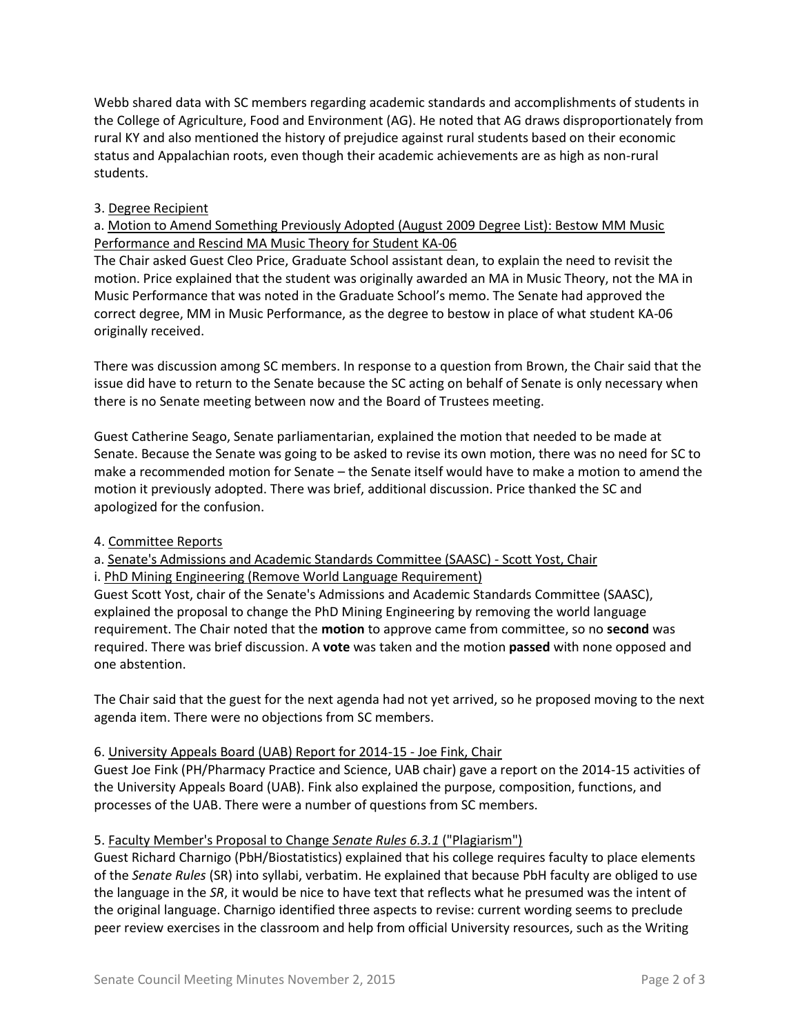Webb shared data with SC members regarding academic standards and accomplishments of students in the College of Agriculture, Food and Environment (AG). He noted that AG draws disproportionately from rural KY and also mentioned the history of prejudice against rural students based on their economic status and Appalachian roots, even though their academic achievements are as high as non-rural students.

## 3. Degree Recipient

## a. Motion to Amend Something Previously Adopted (August 2009 Degree List): Bestow MM Music Performance and Rescind MA Music Theory for Student KA-06

The Chair asked Guest Cleo Price, Graduate School assistant dean, to explain the need to revisit the motion. Price explained that the student was originally awarded an MA in Music Theory, not the MA in Music Performance that was noted in the Graduate School's memo. The Senate had approved the correct degree, MM in Music Performance, as the degree to bestow in place of what student KA-06 originally received.

There was discussion among SC members. In response to a question from Brown, the Chair said that the issue did have to return to the Senate because the SC acting on behalf of Senate is only necessary when there is no Senate meeting between now and the Board of Trustees meeting.

Guest Catherine Seago, Senate parliamentarian, explained the motion that needed to be made at Senate. Because the Senate was going to be asked to revise its own motion, there was no need for SC to make a recommended motion for Senate – the Senate itself would have to make a motion to amend the motion it previously adopted. There was brief, additional discussion. Price thanked the SC and apologized for the confusion.

### 4. Committee Reports

a. Senate's Admissions and Academic Standards Committee (SAASC) - Scott Yost, Chair

i. PhD Mining Engineering (Remove World Language Requirement)

Guest Scott Yost, chair of the Senate's Admissions and Academic Standards Committee (SAASC), explained the proposal to change the PhD Mining Engineering by removing the world language requirement. The Chair noted that the **motion** to approve came from committee, so no **second** was required. There was brief discussion. A **vote** was taken and the motion **passed** with none opposed and one abstention.

The Chair said that the guest for the next agenda had not yet arrived, so he proposed moving to the next agenda item. There were no objections from SC members.

### 6. University Appeals Board (UAB) Report for 2014-15 - Joe Fink, Chair

Guest Joe Fink (PH/Pharmacy Practice and Science, UAB chair) gave a report on the 2014-15 activities of the University Appeals Board (UAB). Fink also explained the purpose, composition, functions, and processes of the UAB. There were a number of questions from SC members.

# 5. Faculty Member's Proposal to Change *Senate Rules 6.3.1* ("Plagiarism")

Guest Richard Charnigo (PbH/Biostatistics) explained that his college requires faculty to place elements of the *Senate Rules* (SR) into syllabi, verbatim. He explained that because PbH faculty are obliged to use the language in the *SR*, it would be nice to have text that reflects what he presumed was the intent of the original language. Charnigo identified three aspects to revise: current wording seems to preclude peer review exercises in the classroom and help from official University resources, such as the Writing